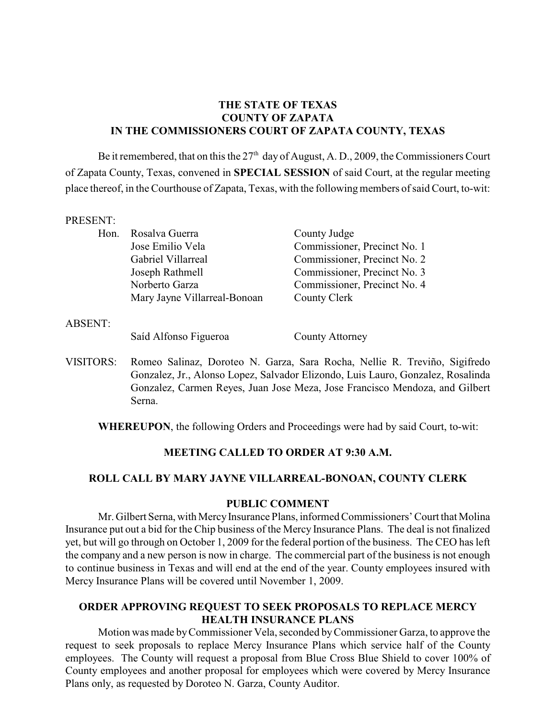# **THE STATE OF TEXAS COUNTY OF ZAPATA IN THE COMMISSIONERS COURT OF ZAPATA COUNTY, TEXAS**

Be it remembered, that on this the  $27<sup>th</sup>$  day of August, A. D., 2009, the Commissioners Court of Zapata County, Texas, convened in **SPECIAL SESSION** of said Court, at the regular meeting place thereof, in the Courthouse of Zapata, Texas, with the following members of said Court, to-wit:

#### PRESENT:

| Hon. | Rosalva Guerra               | County Judge                 |
|------|------------------------------|------------------------------|
|      | Jose Emilio Vela             | Commissioner, Precinct No. 1 |
|      | Gabriel Villarreal           | Commissioner, Precinct No. 2 |
|      | Joseph Rathmell              | Commissioner, Precinct No. 3 |
|      | Norberto Garza               | Commissioner, Precinct No. 4 |
|      | Mary Jayne Villarreal-Bonoan | County Clerk                 |
|      |                              |                              |

ABSENT:

### Saíd Alfonso Figueroa County Attorney

VISITORS: Romeo Salinaz, Doroteo N. Garza, Sara Rocha, Nellie R. Treviño, Sigifredo Gonzalez, Jr., Alonso Lopez, Salvador Elizondo, Luis Lauro, Gonzalez, Rosalinda Gonzalez, Carmen Reyes, Juan Jose Meza, Jose Francisco Mendoza, and Gilbert Serna.

**WHEREUPON**, the following Orders and Proceedings were had by said Court, to-wit:

### **MEETING CALLED TO ORDER AT 9:30 A.M.**

#### **ROLL CALL BY MARY JAYNE VILLARREAL-BONOAN, COUNTY CLERK**

#### **PUBLIC COMMENT**

Mr. Gilbert Serna, with MercyInsurance Plans, informed Commissioners' Court that Molina Insurance put out a bid for the Chip business of the Mercy Insurance Plans. The deal is not finalized yet, but will go through on October 1, 2009 for the federal portion of the business. The CEO has left the company and a new person is now in charge. The commercial part of the business is not enough to continue business in Texas and will end at the end of the year. County employees insured with Mercy Insurance Plans will be covered until November 1, 2009.

## **ORDER APPROVING REQUEST TO SEEK PROPOSALS TO REPLACE MERCY HEALTH INSURANCE PLANS**

Motion was made by Commissioner Vela, seconded by Commissioner Garza, to approve the request to seek proposals to replace Mercy Insurance Plans which service half of the County employees. The County will request a proposal from Blue Cross Blue Shield to cover 100% of County employees and another proposal for employees which were covered by Mercy Insurance Plans only, as requested by Doroteo N. Garza, County Auditor.